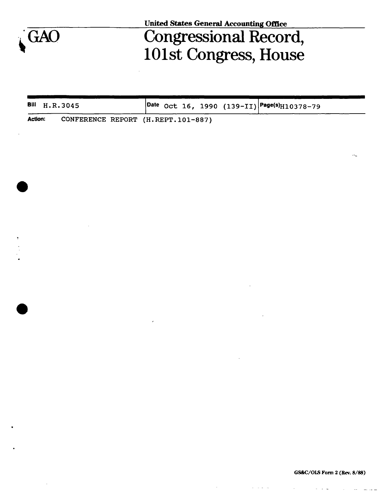

**United States General Accounting Office** 

## GAO Congressional Record, 101st Congress, House

| Bill H.R.3045  |                                    | $\vert$ Date Oct 16, 1990 (139-II) $\vert$ Page(s) <sub>H10378-79</sub> |
|----------------|------------------------------------|-------------------------------------------------------------------------|
| <b>Action:</b> | CONFERENCE REPORT (H.REPT.101-887) |                                                                         |

 $\mathcal{A}(\mathbf{r})$  , and  $\mathcal{A}(\mathbf{r})$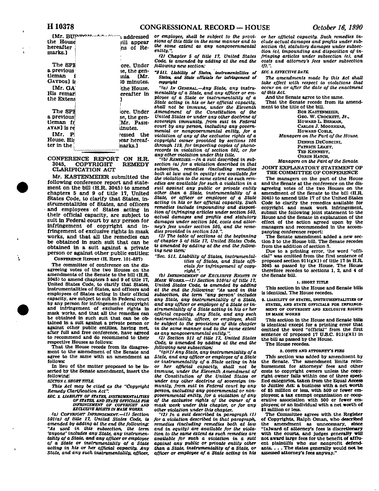**[Mr. BUPriv" v '' "i addressed the House hereafter marks.] The SPE a previous; tleman 1 CAYDOS] is tMr. GA;**  His remar **the Extenj The SPI a previous tleman fr, AYAN] is re [Mr. pj House. Hii ter in the »ill appear •ns of Reore. Under se, the geninia [Mr. SO minutes, ithe House, ereafter in ]**  ore. Under **se, the gen- 'Mr. PASHtinutes. ressed the •ear hereafmarks.]** 

**CONFERENCE REPORT ON H.R. 3045, COPYRIGHT REMEDY CLARIFICATION ACT** 

**Mr. KASTENMEIER submitted the following conference report and statement on the bill (H.R. 3045) to amend chapters 5 and 9 of title 17, United States Code, to clarify that States, instrumentalities of States, and officers and employees of States acting in their official capacity, are subject to suit in Federal court by any person for infringement of copyright and infringement of exclusive rights in mask works, and that all the remedies can be obtained in such suit that can be obtained in a suit against a private person or against other public entities:** 

**CONFERENCE REPORT (H. REPT. 101-887)** 

**The committee of conference on the disagreeing votes of the two Houses on the amendments of the Senate to the bill (H.R. 3045) to amend chapters S and 9 of title 17, United States Code, to clarify that States, instrumentalities of States, and officers and employees of States acting In their official capacity, are subject to suit in Federal court by any person for infringement of copyright and infringement of exclusive rights in mask works, and that all the remedies can be obtained in such suit that can be obtained in a suit against a private person or against other public entitles, having met, after full and free conference, have agreed to recommend and do recommend to their respective Houses as follows:** 

**That the House recede from its disagreement to the amendment of the Senate and agree to the same with an amendment as follows:** 

**In lieu of the matter proposed to be inserted by the Senate amendment, insert the following:** 

*SBCTONI. SHORT TITLE.* 

١

*This Act may be cited as the "Copyright Remedy Clarification Act".* 

*SEC 2. UABtim OP STATES, INSTRUMENTALITIES OP STATES, AND STATE OFFICIALS FOR INFRINGEMENT OF COPYRIGHT AND EXCLUSIVE RIGHTS IN MASK WORKS.* 

*(a) COPYRIGHT INFRINGEMENT.—(1) Section*  501(a) of title 17, United States Code, is *amended by adding at the end the following: "As used in this subsection, the term 'anyone' includes any State, any instrumentality of a State, and any officer or employee of a State or instrumentality of a State acting in his or her official capacity. Any State, and any such instrumentality, officer,* 

*or employee, shall be subject to the provisions of this title in the same manner and to the same extent as any nongovernmental entity.".* 

*(2) Chapter 5 of title 17, United States Code, is amended by adding at the end the following new section:* 

*"S5II. Liability of States, instrumentalities of States, and State officials for Infringement of copyright* 

*"(a) IN GENERAL.—Any State, any instrumentality of a State, and any officer or employee of a State or instrumentality of a State acting in his or her official capacity, shall not be immune, under the Eleventh Amendment of the Constitution of the United States or under any other doctrine of sovereign immunity, from suit in Federal court by any person, including any governmental or nongovernmental entity, for a violation of any of the exclusive rights of a copyright owner provided by sections 106 through 119, for importing copies of phonorecords in violation of section 602, or for any other violation under this title.* 

*"(b) REMEDIES.—In a suit described in subsection (a) for a violation described in that subsection, remedies (including remedies both at law and in equity) are available for the violation to the same extent as such remedies are available for such a violation in a suit against any public or private entity other than a State, instrumentality of a State, or officer or employee of a State acting in his or her official capacity. Such remedies include impounding and disposition of infringing articles under section 503, actual damages and profits and statutory damages under section 504, costs and attorney's fees under section 505, and the reme-dies provided in section 510.".* 

*(3) The table of sections at the beginning of chapter 5 of title 17, United States Code, is amended by adding at the end the following new item:* 

*"Sec 511. Liability of States, instrumental-ities of States, and State officials for infringement of copy-right".* 

*(b) INFRINGEMENT OF EXCLUSIVE RIGHTS IN MASK WORKS.—(1) Section 910(a) of title 17, United States Code, is amended by adding at the end the following: "As used in this subsection, the term "any person' includes any State, any instrumentality of a State, and any officer or employee of a State or instrumentality of a State acting in his or her official capacity. Any State, and any such instrumentality, officer, or employee, shall be subject to the provisions of this chapter in the same manner and to the same extent as any nongovernmental entity.".* 

*(2) Section 911 of title 17, United States Code, is amended by adding at the end the following new subsection:* 

*"(g)(1) Any State, any instrumentality of a State, and any officer or employee of a State or instrumentality of a State acting in his or her official capacity, shall not be immune, under the Eleventh Amendment of the Constitution of the United States or under any other doctrine of sovereign immunity, from suit in Federal court by any person, including any governmental or nongovernmental entity, for a violation of any of the exclusive rights of the owner of a mask work under this chapter, or for any other violation under this chapter.* 

*"(2) In a suit described in paragraph (1) for a violation described in that paragraph, remedies (including remedies both at law and in equity) are available for the violation to the same extent as such remedies are available for such a violation in a suit against any public or private entity other than a State, instrumentality of a State, or officer or employee of a State acting in his* 

*or her official capacity. Such remedies tnelude actual damages and profits under subsection lb), statutory damages under subsection (c), impounding and disposition of infringing articles under subsection (e), and costs and attorney's fees under subsection If).".* 

## *SEC 3. EFFECTIVE DATE.*

*The amendments made by this Act shall take effect with respect to violations that occur on or after the date of the enactment of this Act* 

**And the Senate agree to the same.** 

**That the Senate recede from its amendment to the title of the bill.** 

**BOB KASTENMEIER, GEO. W. CROCKETT, Jr., HOWARD L. BERMAN, CARLOS J. MOORHEAD, HOWARD COBLE,** 

*Managers on the Part of the House.* 

**DENNIS DECONCINI, PATRICK LEAHY,** 

**TED KENNEDY, ORRIN HATCH,** 

*Managers on the Part of the Senate.* 

**JOINT EXPLANATORY STATEMENT OP THE COMMITTEE OP CONFERENCE** 

**The managers on the part of the House and the Senate at the conference on the disagreeing votes of the two Houses on the amendment of the Senate to the bill (H.R. 3045) to amend title 17 of the United States Code to clarify the remedies available for copyright and mask work infringement, submit the following joint statement to the House and the Senate in explanation of the effect of the action agreed upon by the managers and recommended in the accompanying conference report:** 

**The Senate amendment added a new section 3 to the House bill. The Senate recedes from the addition of section 3.** 

**Due to a printing error, the word "official" was omitted from the first sentence of proposed section 911(g)(1) of title 17 in H.R. 3045 as passed by the House. The House therefore recedes to sections 1, 2, and 4 of the Senate bill.** 

## **1. SHORT TITLE**

**This section in the House and Senate bills Is identical. The House recedes.** 

**2. LIABILITY OF STATES, INSTRUMENTALITIES OF STATES, AND STATE OFFICIALS FOR INFRINGE-MENT OF COPYRIGHT AND EXCLUSIVE RIGHTS IN MASK WORKS** 

**This section in the House and Senate bills is identical except for a printing error that omitted the word "official" from the first sentence of proposed 17 U.S.C. 911(g)(1) in the bill as passed by the House.** 

**The House recedes.** 

## **3. COSTS AND ATTORNEY'S FEES**

**This section was added by amendment by the Senate. The amendment limits reimbursement for attorneys' fees and other costs to copyright owners unless the copyright owner falls within one of three specified categories, taken from the Equal Access to Justice Act: a business with a net worth of \$5 million or less, with 500 or fewer employees a tax exempt organization or cooperative association with 500 or fewer employees; or an individual with a net worth of \$1 million or less.** 

**The Committee agrees with the Register of Copyrights, Ralph Oman, who described**  amendment as unnecessary, **"[a)ward of attorney's fees is discretionary with the courts, and judges generally will not award large fees for the benefit of affluent plaintiffs who sue nonprofit defend-ants. . . . The states generally would not be assessed attorney's fees anyway."**